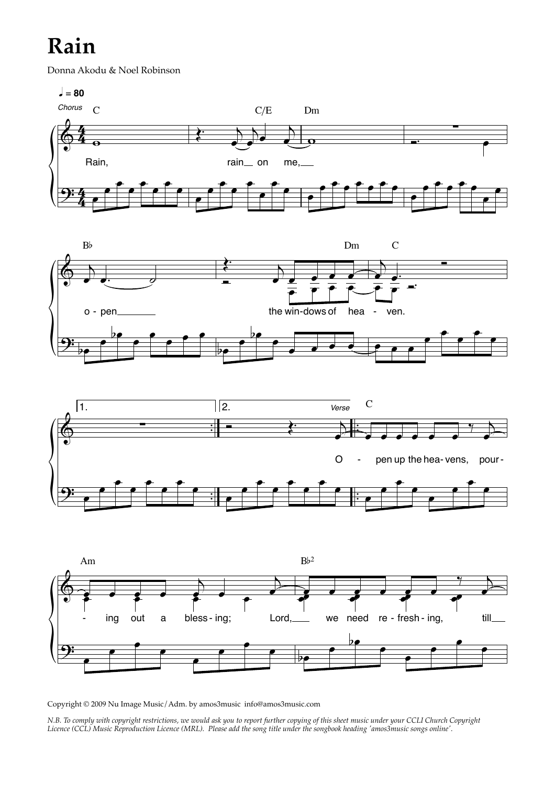## **Rain**

Donna Akodu & Noel Robinson









Copyright © 2009 Nu Image Music/Adm. by amos3music info@amos3music.com

*N.B. To comply with copyright restrictions, we would ask you to report further copying of this sheet music under your CCLI Church Copyright Licence (CCL) Music Reproduction Licence (MRL). Please add the song title under the songbook heading 'amos3music songs online'.*